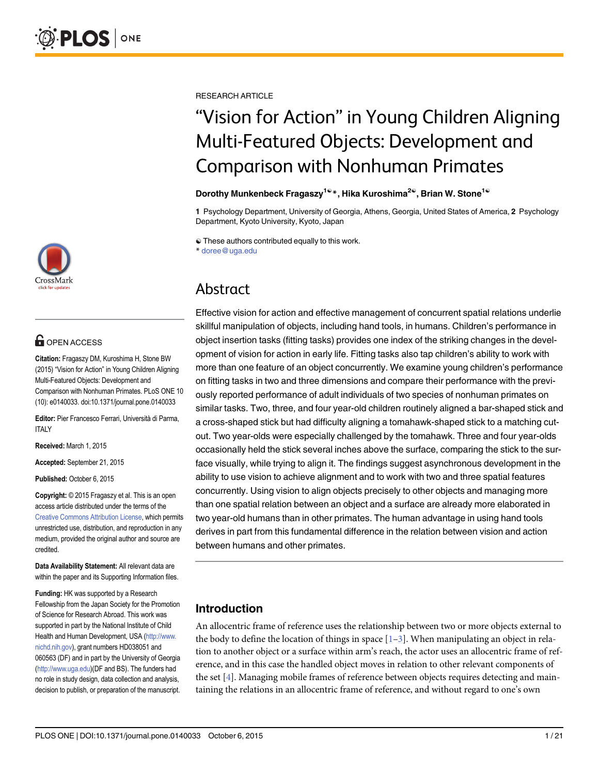

# **OPEN ACCESS**

Citation: Fragaszy DM, Kuroshima H, Stone BW (2015) "Vision for Action" in Young Children Aligning Multi-Featured Objects: Development and Comparison with Nonhuman Primates. PLoS ONE 10 (10): e0140033. doi:10.1371/journal.pone.0140033

Editor: Pier Francesco Ferrari, Università di Parma, **ITALY** 

Received: March 1, 2015

Accepted: September 21, 2015

Published: October 6, 2015

Copyright: © 2015 Fragaszy et al. This is an open access article distributed under the terms of the [Creative Commons Attribution License,](http://creativecommons.org/licenses/by/4.0/) which permits unrestricted use, distribution, and reproduction in any medium, provided the original author and source are credited.

Data Availability Statement: All relevant data are within the paper and its Supporting Information files.

Funding: HK was supported by a Research Fellowship from the Japan Society for the Promotion of Science for Research Abroad. This work was supported in part by the National Institute of Child Health and Human Development, USA [\(http://www.](http://www.nichd.nih.gov) [nichd.nih.gov\)](http://www.nichd.nih.gov), grant numbers HD038051 and 060563 (DF) and in part by the University of Georgia [\(http://www.uga.edu](http://www.uga.edu))(DF and BS). The funders had no role in study design, data collection and analysis, decision to publish, or preparation of the manuscript.

<span id="page-0-0"></span>RESEARCH ARTICLE

# "Vision for Action" in Young Children Aligning Multi-Featured Objects: Development and Comparison with Nonhuman Primates

#### Dorothy Munkenbeck Fragaszy<sup>1©</sup>\*, Hika Kuroshima<sup>2©</sup>, Brian W. Stone<sup>1©</sup>

1 Psychology Department, University of Georgia, Athens, Georgia, United States of America, 2 Psychology Department, Kyoto University, Kyoto, Japan

☯ These authors contributed equally to this work.

\* doree@uga.edu

# Abstract

Effective vision for action and effective management of concurrent spatial relations underlie skillful manipulation of objects, including hand tools, in humans. Children's performance in object insertion tasks (fitting tasks) provides one index of the striking changes in the development of vision for action in early life. Fitting tasks also tap children's ability to work with more than one feature of an object concurrently. We examine young children's performance on fitting tasks in two and three dimensions and compare their performance with the previously reported performance of adult individuals of two species of nonhuman primates on similar tasks. Two, three, and four year-old children routinely aligned a bar-shaped stick and a cross-shaped stick but had difficulty aligning a tomahawk-shaped stick to a matching cutout. Two year-olds were especially challenged by the tomahawk. Three and four year-olds occasionally held the stick several inches above the surface, comparing the stick to the surface visually, while trying to align it. The findings suggest asynchronous development in the ability to use vision to achieve alignment and to work with two and three spatial features concurrently. Using vision to align objects precisely to other objects and managing more than one spatial relation between an object and a surface are already more elaborated in two year-old humans than in other primates. The human advantage in using hand tools derives in part from this fundamental difference in the relation between vision and action between humans and other primates.

# Introduction

An allocentric frame of reference uses the relationship between two or more objects external to the body to define the location of things in space  $[1-3]$  $[1-3]$  $[1-3]$ . When manipulating an object in relation to another object or a surface within arm's reach, the actor uses an allocentric frame of reference, and in this case the handled object moves in relation to other relevant components of the set [\[4](#page-19-0)]. Managing mobile frames of reference between objects requires detecting and maintaining the relations in an allocentric frame of reference, and without regard to one's own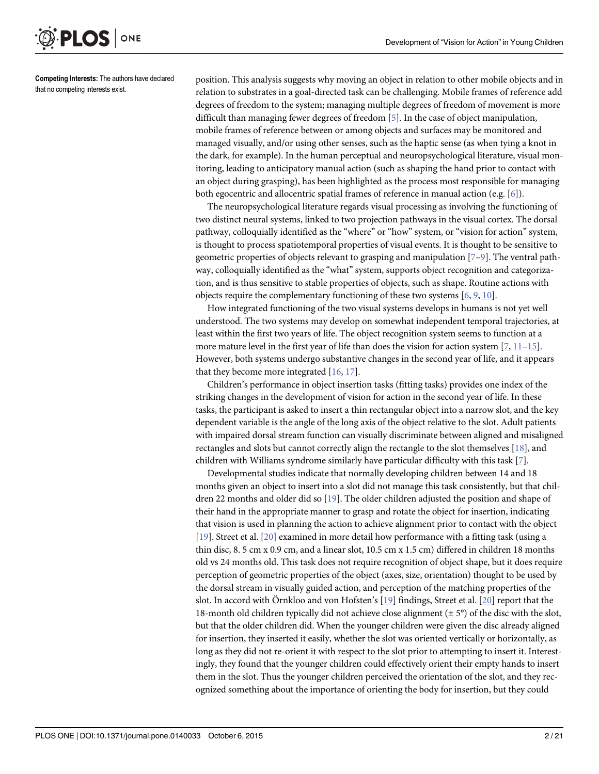<span id="page-1-0"></span>

Competing Interests: The authors have declared that no competing interests exist.

position. This analysis suggests why moving an object in relation to other mobile objects and in relation to substrates in a goal-directed task can be challenging. Mobile frames of reference add degrees of freedom to the system; managing multiple degrees of freedom of movement is more difficult than managing fewer degrees of freedom [\[5\]](#page-19-0). In the case of object manipulation, mobile frames of reference between or among objects and surfaces may be monitored and managed visually, and/or using other senses, such as the haptic sense (as when tying a knot in the dark, for example). In the human perceptual and neuropsychological literature, visual monitoring, leading to anticipatory manual action (such as shaping the hand prior to contact with an object during grasping), has been highlighted as the process most responsible for managing both egocentric and allocentric spatial frames of reference in manual action (e.g. [\[6\]](#page-19-0)).

The neuropsychological literature regards visual processing as involving the functioning of two distinct neural systems, linked to two projection pathways in the visual cortex. The dorsal pathway, colloquially identified as the "where" or "how" system, or "vision for action" system, is thought to process spatiotemporal properties of visual events. It is thought to be sensitive to geometric properties of objects relevant to grasping and manipulation  $[7-9]$  $[7-9]$  $[7-9]$  $[7-9]$ . The ventral pathway, colloquially identified as the "what" system, supports object recognition and categorization, and is thus sensitive to stable properties of objects, such as shape. Routine actions with objects require the complementary functioning of these two systems  $[6, 9, 10]$  $[6, 9, 10]$  $[6, 9, 10]$  $[6, 9, 10]$  $[6, 9, 10]$  $[6, 9, 10]$ .

How integrated functioning of the two visual systems develops in humans is not yet well understood. The two systems may develop on somewhat independent temporal trajectories, at least within the first two years of life. The object recognition system seems to function at a more mature level in the first year of life than does the vision for action system  $[7, 11-15]$  $[7, 11-15]$  $[7, 11-15]$  $[7, 11-15]$  $[7, 11-15]$ . However, both systems undergo substantive changes in the second year of life, and it appears that they become more integrated  $[16, 17]$  $[16, 17]$  $[16, 17]$ .

Children's performance in object insertion tasks (fitting tasks) provides one index of the striking changes in the development of vision for action in the second year of life. In these tasks, the participant is asked to insert a thin rectangular object into a narrow slot, and the key dependent variable is the angle of the long axis of the object relative to the slot. Adult patients with impaired dorsal stream function can visually discriminate between aligned and misaligned rectangles and slots but cannot correctly align the rectangle to the slot themselves [\[18\]](#page-19-0), and children with Williams syndrome similarly have particular difficulty with this task [\[7](#page-19-0)].

Developmental studies indicate that normally developing children between 14 and 18 months given an object to insert into a slot did not manage this task consistently, but that children 22 months and older did so [[19](#page-19-0)]. The older children adjusted the position and shape of their hand in the appropriate manner to grasp and rotate the object for insertion, indicating that vision is used in planning the action to achieve alignment prior to contact with the object [\[19](#page-19-0)]. Street et al. [[20](#page-19-0)] examined in more detail how performance with a fitting task (using a thin disc, 8. 5 cm x 0.9 cm, and a linear slot, 10.5 cm x 1.5 cm) differed in children 18 months old vs 24 months old. This task does not require recognition of object shape, but it does require perception of geometric properties of the object (axes, size, orientation) thought to be used by the dorsal stream in visually guided action, and perception of the matching properties of the slot. In accord with Örnkloo and von Hofsten's [\[19\]](#page-19-0) findings, Street et al. [\[20\]](#page-19-0) report that the 18-month old children typically did not achieve close alignment  $(\pm 5^{\circ})$  of the disc with the slot, but that the older children did. When the younger children were given the disc already aligned for insertion, they inserted it easily, whether the slot was oriented vertically or horizontally, as long as they did not re-orient it with respect to the slot prior to attempting to insert it. Interestingly, they found that the younger children could effectively orient their empty hands to insert them in the slot. Thus the younger children perceived the orientation of the slot, and they recognized something about the importance of orienting the body for insertion, but they could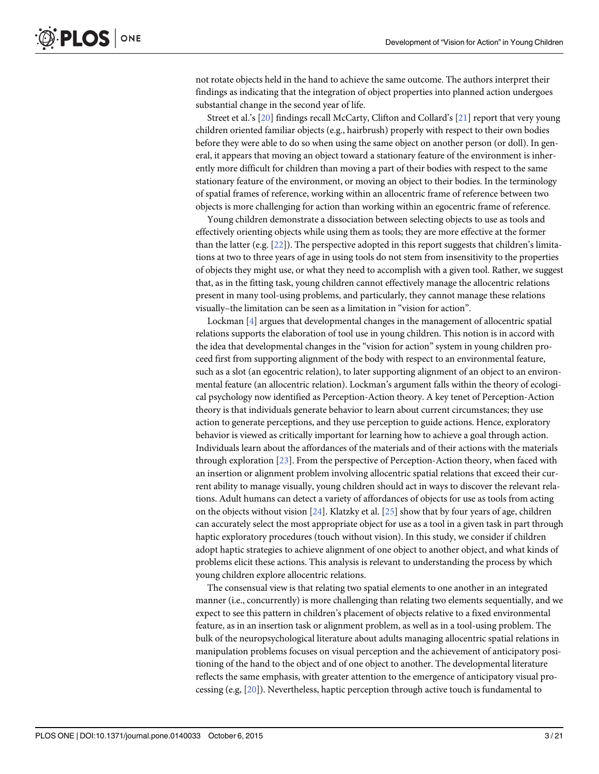<span id="page-2-0"></span>not rotate objects held in the hand to achieve the same outcome. The authors interpret their findings as indicating that the integration of object properties into planned action undergoes substantial change in the second year of life.

Street et al.'s [[20](#page-19-0)] findings recall McCarty, Clifton and Collard's [[21](#page-19-0)] report that very young children oriented familiar objects (e.g., hairbrush) properly with respect to their own bodies before they were able to do so when using the same object on another person (or doll). In general, it appears that moving an object toward a stationary feature of the environment is inherently more difficult for children than moving a part of their bodies with respect to the same stationary feature of the environment, or moving an object to their bodies. In the terminology of spatial frames of reference, working within an allocentric frame of reference between two objects is more challenging for action than working within an egocentric frame of reference.

Young children demonstrate a dissociation between selecting objects to use as tools and effectively orienting objects while using them as tools; they are more effective at the former than the latter (e.g.  $[22]$ ). The perspective adopted in this report suggests that children's limitations at two to three years of age in using tools do not stem from insensitivity to the properties of objects they might use, or what they need to accomplish with a given tool. Rather, we suggest that, as in the fitting task, young children cannot effectively manage the allocentric relations present in many tool-using problems, and particularly, they cannot manage these relations visually–the limitation can be seen as a limitation in "vision for action".

Lockman [[4\]](#page-19-0) argues that developmental changes in the management of allocentric spatial relations supports the elaboration of tool use in young children. This notion is in accord with the idea that developmental changes in the "vision for action" system in young children proceed first from supporting alignment of the body with respect to an environmental feature, such as a slot (an egocentric relation), to later supporting alignment of an object to an environmental feature (an allocentric relation). Lockman's argument falls within the theory of ecological psychology now identified as Perception-Action theory. A key tenet of Perception-Action theory is that individuals generate behavior to learn about current circumstances; they use action to generate perceptions, and they use perception to guide actions. Hence, exploratory behavior is viewed as critically important for learning how to achieve a goal through action. Individuals learn about the affordances of the materials and of their actions with the materials through exploration [[23](#page-19-0)]. From the perspective of Perception-Action theory, when faced with an insertion or alignment problem involving allocentric spatial relations that exceed their current ability to manage visually, young children should act in ways to discover the relevant relations. Adult humans can detect a variety of affordances of objects for use as tools from acting on the objects without vision  $[24]$  $[24]$  $[24]$ . Klatzky et al.  $[25]$  $[25]$  $[25]$  show that by four years of age, children can accurately select the most appropriate object for use as a tool in a given task in part through haptic exploratory procedures (touch without vision). In this study, we consider if children adopt haptic strategies to achieve alignment of one object to another object, and what kinds of problems elicit these actions. This analysis is relevant to understanding the process by which young children explore allocentric relations.

The consensual view is that relating two spatial elements to one another in an integrated manner (i.e., concurrently) is more challenging than relating two elements sequentially, and we expect to see this pattern in children's placement of objects relative to a fixed environmental feature, as in an insertion task or alignment problem, as well as in a tool-using problem. The bulk of the neuropsychological literature about adults managing allocentric spatial relations in manipulation problems focuses on visual perception and the achievement of anticipatory positioning of the hand to the object and of one object to another. The developmental literature reflects the same emphasis, with greater attention to the emergence of anticipatory visual processing (e.g, [[20](#page-19-0)]). Nevertheless, haptic perception through active touch is fundamental to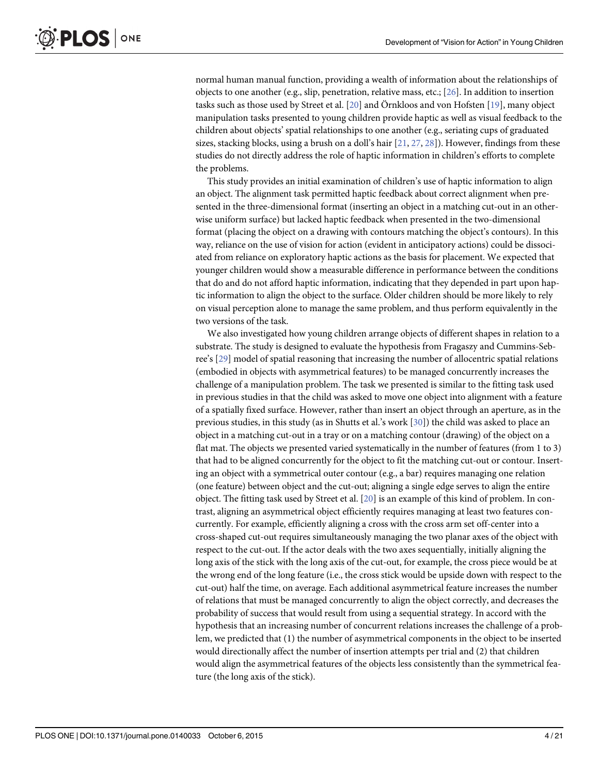<span id="page-3-0"></span>normal human manual function, providing a wealth of information about the relationships of objects to one another (e.g., slip, penetration, relative mass, etc.; [[26](#page-19-0)]. In addition to insertion tasks such as those used by Street et al. [\[20\]](#page-19-0) and Örnkloos and von Hofsten [\[19\]](#page-19-0), many object manipulation tasks presented to young children provide haptic as well as visual feedback to the children about objects' spatial relationships to one another (e.g., seriating cups of graduated sizes, stacking blocks, using a brush on a doll's hair  $[21, 27, 28]$  $[21, 27, 28]$  $[21, 27, 28]$  $[21, 27, 28]$  $[21, 27, 28]$  $[21, 27, 28]$  $[21, 27, 28]$ ). However, findings from these studies do not directly address the role of haptic information in children's efforts to complete the problems.

This study provides an initial examination of children's use of haptic information to align an object. The alignment task permitted haptic feedback about correct alignment when presented in the three-dimensional format (inserting an object in a matching cut-out in an otherwise uniform surface) but lacked haptic feedback when presented in the two-dimensional format (placing the object on a drawing with contours matching the object's contours). In this way, reliance on the use of vision for action (evident in anticipatory actions) could be dissociated from reliance on exploratory haptic actions as the basis for placement. We expected that younger children would show a measurable difference in performance between the conditions that do and do not afford haptic information, indicating that they depended in part upon haptic information to align the object to the surface. Older children should be more likely to rely on visual perception alone to manage the same problem, and thus perform equivalently in the two versions of the task.

We also investigated how young children arrange objects of different shapes in relation to a substrate. The study is designed to evaluate the hypothesis from Fragaszy and Cummins-Sebree's [\[29](#page-19-0)] model of spatial reasoning that increasing the number of allocentric spatial relations (embodied in objects with asymmetrical features) to be managed concurrently increases the challenge of a manipulation problem. The task we presented is similar to the fitting task used in previous studies in that the child was asked to move one object into alignment with a feature of a spatially fixed surface. However, rather than insert an object through an aperture, as in the previous studies, in this study (as in Shutts et al.'s work [[30](#page-19-0)]) the child was asked to place an object in a matching cut-out in a tray or on a matching contour (drawing) of the object on a flat mat. The objects we presented varied systematically in the number of features (from 1 to 3) that had to be aligned concurrently for the object to fit the matching cut-out or contour. Inserting an object with a symmetrical outer contour (e.g., a bar) requires managing one relation (one feature) between object and the cut-out; aligning a single edge serves to align the entire object. The fitting task used by Street et al. [[20\]](#page-19-0) is an example of this kind of problem. In contrast, aligning an asymmetrical object efficiently requires managing at least two features concurrently. For example, efficiently aligning a cross with the cross arm set off-center into a cross-shaped cut-out requires simultaneously managing the two planar axes of the object with respect to the cut-out. If the actor deals with the two axes sequentially, initially aligning the long axis of the stick with the long axis of the cut-out, for example, the cross piece would be at the wrong end of the long feature (i.e., the cross stick would be upside down with respect to the cut-out) half the time, on average. Each additional asymmetrical feature increases the number of relations that must be managed concurrently to align the object correctly, and decreases the probability of success that would result from using a sequential strategy. In accord with the hypothesis that an increasing number of concurrent relations increases the challenge of a problem, we predicted that (1) the number of asymmetrical components in the object to be inserted would directionally affect the number of insertion attempts per trial and (2) that children would align the asymmetrical features of the objects less consistently than the symmetrical feature (the long axis of the stick).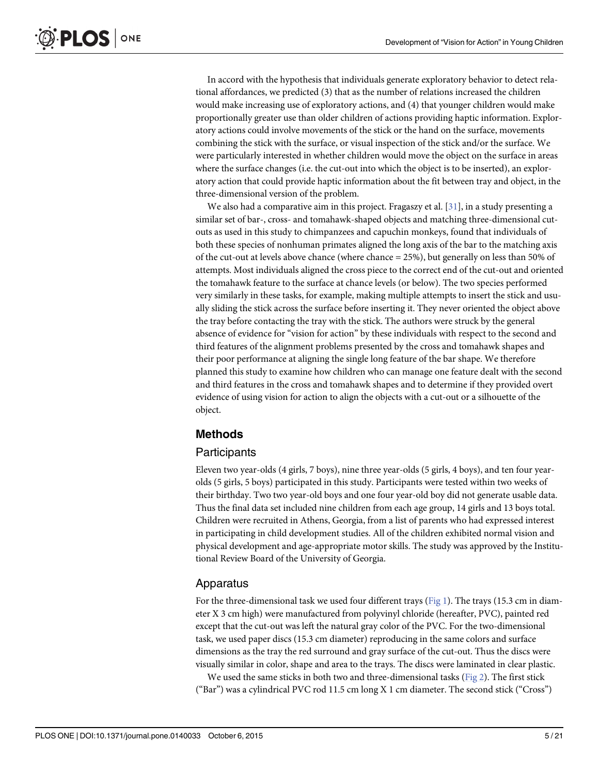<span id="page-4-0"></span>In accord with the hypothesis that individuals generate exploratory behavior to detect relational affordances, we predicted (3) that as the number of relations increased the children would make increasing use of exploratory actions, and (4) that younger children would make proportionally greater use than older children of actions providing haptic information. Exploratory actions could involve movements of the stick or the hand on the surface, movements combining the stick with the surface, or visual inspection of the stick and/or the surface. We were particularly interested in whether children would move the object on the surface in areas where the surface changes (i.e. the cut-out into which the object is to be inserted), an exploratory action that could provide haptic information about the fit between tray and object, in the three-dimensional version of the problem.

We also had a comparative aim in this project. Fragaszy et al. [\[31](#page-20-0)], in a study presenting a similar set of bar-, cross- and tomahawk-shaped objects and matching three-dimensional cutouts as used in this study to chimpanzees and capuchin monkeys, found that individuals of both these species of nonhuman primates aligned the long axis of the bar to the matching axis of the cut-out at levels above chance (where chance = 25%), but generally on less than 50% of attempts. Most individuals aligned the cross piece to the correct end of the cut-out and oriented the tomahawk feature to the surface at chance levels (or below). The two species performed very similarly in these tasks, for example, making multiple attempts to insert the stick and usually sliding the stick across the surface before inserting it. They never oriented the object above the tray before contacting the tray with the stick. The authors were struck by the general absence of evidence for "vision for action" by these individuals with respect to the second and third features of the alignment problems presented by the cross and tomahawk shapes and their poor performance at aligning the single long feature of the bar shape. We therefore planned this study to examine how children who can manage one feature dealt with the second and third features in the cross and tomahawk shapes and to determine if they provided overt evidence of using vision for action to align the objects with a cut-out or a silhouette of the object.

# Methods

# **Participants**

Eleven two year-olds (4 girls, 7 boys), nine three year-olds (5 girls, 4 boys), and ten four yearolds (5 girls, 5 boys) participated in this study. Participants were tested within two weeks of their birthday. Two two year-old boys and one four year-old boy did not generate usable data. Thus the final data set included nine children from each age group, 14 girls and 13 boys total. Children were recruited in Athens, Georgia, from a list of parents who had expressed interest in participating in child development studies. All of the children exhibited normal vision and physical development and age-appropriate motor skills. The study was approved by the Institutional Review Board of the University of Georgia.

# Apparatus

For the three-dimensional task we used four different trays ([Fig 1](#page-5-0)). The trays (15.3 cm in diameter X 3 cm high) were manufactured from polyvinyl chloride (hereafter, PVC), painted red except that the cut-out was left the natural gray color of the PVC. For the two-dimensional task, we used paper discs (15.3 cm diameter) reproducing in the same colors and surface dimensions as the tray the red surround and gray surface of the cut-out. Thus the discs were visually similar in color, shape and area to the trays. The discs were laminated in clear plastic.

We used the same sticks in both two and three-dimensional tasks ( $Fig 2$ ). The first stick ("Bar") was a cylindrical PVC rod 11.5 cm long X 1 cm diameter. The second stick ("Cross")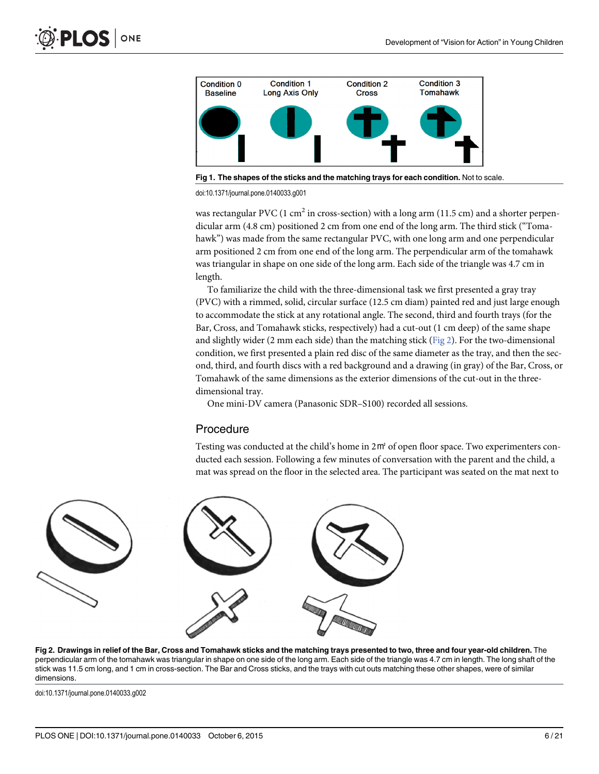<span id="page-5-0"></span>

[Fig 1. T](#page-4-0)he shapes of the sticks and the matching trays for each condition. Not to scale.

doi:10.1371/journal.pone.0140033.g001

was rectangular PVC (1 cm<sup>2</sup> in cross-section) with a long arm (11.5 cm) and a shorter perpendicular arm (4.8 cm) positioned 2 cm from one end of the long arm. The third stick ("Tomahawk") was made from the same rectangular PVC, with one long arm and one perpendicular arm positioned 2 cm from one end of the long arm. The perpendicular arm of the tomahawk was triangular in shape on one side of the long arm. Each side of the triangle was 4.7 cm in length.

To familiarize the child with the three-dimensional task we first presented a gray tray (PVC) with a rimmed, solid, circular surface (12.5 cm diam) painted red and just large enough to accommodate the stick at any rotational angle. The second, third and fourth trays (for the Bar, Cross, and Tomahawk sticks, respectively) had a cut-out (1 cm deep) of the same shape and slightly wider (2 mm each side) than the matching stick ( $Fig 2$ ). For the two-dimensional condition, we first presented a plain red disc of the same diameter as the tray, and then the second, third, and fourth discs with a red background and a drawing (in gray) of the Bar, Cross, or Tomahawk of the same dimensions as the exterior dimensions of the cut-out in the threedimensional tray.

One mini-DV camera (Panasonic SDR–S100) recorded all sessions.

#### Procedure

Testing was conducted at the child's home in 2㎡ of open floor space. Two experimenters conducted each session. Following a few minutes of conversation with the parent and the child, a mat was spread on the floor in the selected area. The participant was seated on the mat next to



[Fig 2. D](#page-4-0)rawings in relief of the Bar, Cross and Tomahawk sticks and the matching trays presented to two, three and four year-old children. The perpendicular arm of the tomahawk was triangular in shape on one side of the long arm. Each side of the triangle was 4.7 cm in length. The long shaft of the stick was 11.5 cm long, and 1 cm in cross-section. The Bar and Cross sticks, and the trays with cut outs matching these other shapes, were of similar dimensions.

doi:10.1371/journal.pone.0140033.g002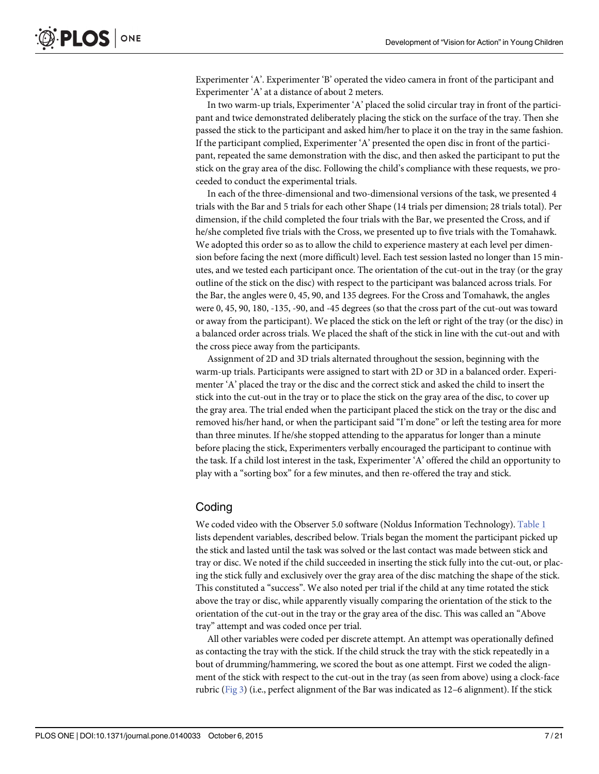<span id="page-6-0"></span>Experimenter 'A'. Experimenter 'B' operated the video camera in front of the participant and Experimenter 'A' at a distance of about 2 meters.

In two warm-up trials, Experimenter 'A' placed the solid circular tray in front of the participant and twice demonstrated deliberately placing the stick on the surface of the tray. Then she passed the stick to the participant and asked him/her to place it on the tray in the same fashion. If the participant complied, Experimenter 'A' presented the open disc in front of the participant, repeated the same demonstration with the disc, and then asked the participant to put the stick on the gray area of the disc. Following the child's compliance with these requests, we proceeded to conduct the experimental trials.

In each of the three-dimensional and two-dimensional versions of the task, we presented 4 trials with the Bar and 5 trials for each other Shape (14 trials per dimension; 28 trials total). Per dimension, if the child completed the four trials with the Bar, we presented the Cross, and if he/she completed five trials with the Cross, we presented up to five trials with the Tomahawk. We adopted this order so as to allow the child to experience mastery at each level per dimension before facing the next (more difficult) level. Each test session lasted no longer than 15 minutes, and we tested each participant once. The orientation of the cut-out in the tray (or the gray outline of the stick on the disc) with respect to the participant was balanced across trials. For the Bar, the angles were 0, 45, 90, and 135 degrees. For the Cross and Tomahawk, the angles were 0, 45, 90, 180, -135, -90, and -45 degrees (so that the cross part of the cut-out was toward or away from the participant). We placed the stick on the left or right of the tray (or the disc) in a balanced order across trials. We placed the shaft of the stick in line with the cut-out and with the cross piece away from the participants.

Assignment of 2D and 3D trials alternated throughout the session, beginning with the warm-up trials. Participants were assigned to start with 2D or 3D in a balanced order. Experimenter 'A' placed the tray or the disc and the correct stick and asked the child to insert the stick into the cut-out in the tray or to place the stick on the gray area of the disc, to cover up the gray area. The trial ended when the participant placed the stick on the tray or the disc and removed his/her hand, or when the participant said "I'm done" or left the testing area for more than three minutes. If he/she stopped attending to the apparatus for longer than a minute before placing the stick, Experimenters verbally encouraged the participant to continue with the task. If a child lost interest in the task, Experimenter 'A' offered the child an opportunity to play with a "sorting box" for a few minutes, and then re-offered the tray and stick.

#### **Coding**

We coded video with the Observer 5.0 software (Noldus Information Technology). [Table 1](#page-7-0) lists dependent variables, described below. Trials began the moment the participant picked up the stick and lasted until the task was solved or the last contact was made between stick and tray or disc. We noted if the child succeeded in inserting the stick fully into the cut-out, or placing the stick fully and exclusively over the gray area of the disc matching the shape of the stick. This constituted a "success". We also noted per trial if the child at any time rotated the stick above the tray or disc, while apparently visually comparing the orientation of the stick to the orientation of the cut-out in the tray or the gray area of the disc. This was called an "Above tray" attempt and was coded once per trial.

All other variables were coded per discrete attempt. An attempt was operationally defined as contacting the tray with the stick. If the child struck the tray with the stick repeatedly in a bout of drumming/hammering, we scored the bout as one attempt. First we coded the alignment of the stick with respect to the cut-out in the tray (as seen from above) using a clock-face rubric ([Fig 3](#page-8-0)) (i.e., perfect alignment of the Bar was indicated as 12–6 alignment). If the stick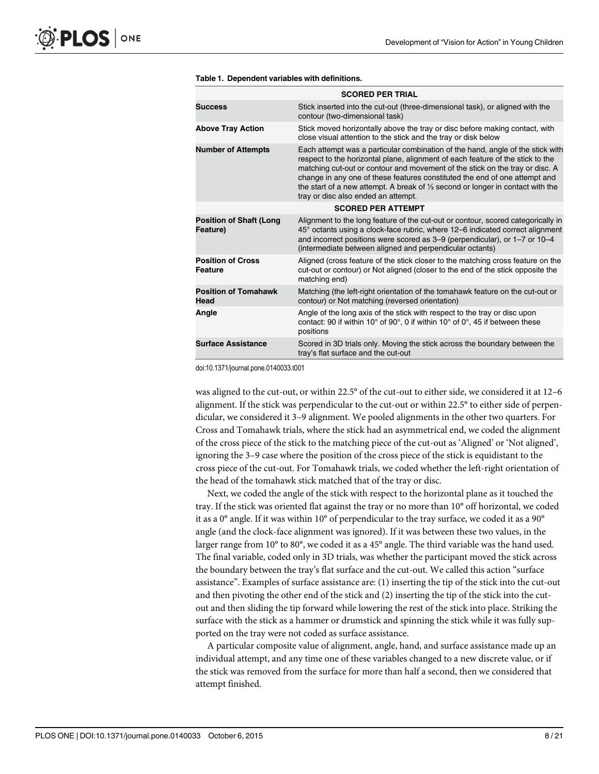<span id="page-7-0"></span>

|                                            | <b>SCORED PER TRIAL</b>                                                                                                                                                                                                                                                                                                                                                                                                                                            |  |
|--------------------------------------------|--------------------------------------------------------------------------------------------------------------------------------------------------------------------------------------------------------------------------------------------------------------------------------------------------------------------------------------------------------------------------------------------------------------------------------------------------------------------|--|
| <b>Success</b>                             | Stick inserted into the cut-out (three-dimensional task), or aligned with the<br>contour (two-dimensional task)                                                                                                                                                                                                                                                                                                                                                    |  |
| <b>Above Tray Action</b>                   | Stick moved horizontally above the tray or disc before making contact, with<br>close visual attention to the stick and the tray or disk below                                                                                                                                                                                                                                                                                                                      |  |
| <b>Number of Attempts</b>                  | Each attempt was a particular combination of the hand, angle of the stick with<br>respect to the horizontal plane, alignment of each feature of the stick to the<br>matching cut-out or contour and movement of the stick on the tray or disc. A<br>change in any one of these features constituted the end of one attempt and<br>the start of a new attempt. A break of $\frac{1}{2}$ second or longer in contact with the<br>tray or disc also ended an attempt. |  |
|                                            | <b>SCORED PER ATTEMPT</b>                                                                                                                                                                                                                                                                                                                                                                                                                                          |  |
| <b>Position of Shaft (Long</b><br>Feature) | Alignment to the long feature of the cut-out or contour, scored categorically in<br>45° octants using a clock-face rubric, where 12–6 indicated correct alignment<br>and incorrect positions were scored as 3–9 (perpendicular), or 1–7 or 10–4<br>(intermediate between aligned and perpendicular octants)                                                                                                                                                        |  |
| <b>Position of Cross</b><br><b>Feature</b> | Aligned (cross feature of the stick closer to the matching cross feature on the<br>cut-out or contour) or Not aligned (closer to the end of the stick opposite the<br>matching end)                                                                                                                                                                                                                                                                                |  |
| <b>Position of Tomahawk</b><br>Head        | Matching (the left-right orientation of the tomahawk feature on the cut-out or<br>contour) or Not matching (reversed orientation)                                                                                                                                                                                                                                                                                                                                  |  |
| Angle                                      | Angle of the long axis of the stick with respect to the tray or disc upon<br>contact: 90 if within 10 $^{\circ}$ of 90 $^{\circ}$ , 0 if within 10 $^{\circ}$ of 0 $^{\circ}$ , 45 if between these<br>positions                                                                                                                                                                                                                                                   |  |
| <b>Surface Assistance</b>                  | Scored in 3D trials only. Moving the stick across the boundary between the<br>tray's flat surface and the cut-out                                                                                                                                                                                                                                                                                                                                                  |  |

#### [Table 1.](#page-6-0) Dependent variables with definitions.

doi:10.1371/journal.pone.0140033.t001

was aligned to the cut-out, or within 22.5° of the cut-out to either side, we considered it at 12–6 alignment. If the stick was perpendicular to the cut-out or within 22.5° to either side of perpendicular, we considered it 3–9 alignment. We pooled alignments in the other two quarters. For Cross and Tomahawk trials, where the stick had an asymmetrical end, we coded the alignment of the cross piece of the stick to the matching piece of the cut-out as 'Aligned' or 'Not aligned', ignoring the 3–9 case where the position of the cross piece of the stick is equidistant to the cross piece of the cut-out. For Tomahawk trials, we coded whether the left-right orientation of the head of the tomahawk stick matched that of the tray or disc.

Next, we coded the angle of the stick with respect to the horizontal plane as it touched the tray. If the stick was oriented flat against the tray or no more than 10° off horizontal, we coded it as a 0° angle. If it was within 10° of perpendicular to the tray surface, we coded it as a 90° angle (and the clock-face alignment was ignored). If it was between these two values, in the larger range from 10° to 80°, we coded it as a 45° angle. The third variable was the hand used. The final variable, coded only in 3D trials, was whether the participant moved the stick across the boundary between the tray's flat surface and the cut-out. We called this action "surface assistance". Examples of surface assistance are: (1) inserting the tip of the stick into the cut-out and then pivoting the other end of the stick and (2) inserting the tip of the stick into the cutout and then sliding the tip forward while lowering the rest of the stick into place. Striking the surface with the stick as a hammer or drumstick and spinning the stick while it was fully supported on the tray were not coded as surface assistance.

A particular composite value of alignment, angle, hand, and surface assistance made up an individual attempt, and any time one of these variables changed to a new discrete value, or if the stick was removed from the surface for more than half a second, then we considered that attempt finished.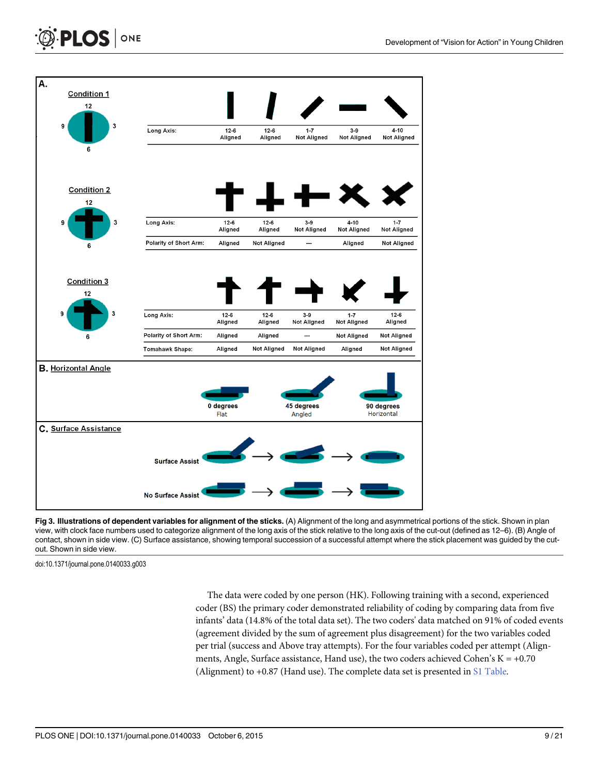<span id="page-8-0"></span>



[Fig 3. I](#page-6-0)llustrations of dependent variables for alignment of the sticks. (A) Alignment of the long and asymmetrical portions of the stick. Shown in plan view, with clock face numbers used to categorize alignment of the long axis of the stick relative to the long axis of the cut-out (defined as 12–6). (B) Angle of contact, shown in side view. (C) Surface assistance, showing temporal succession of a successful attempt where the stick placement was guided by the cutout. Shown in side view.

doi:10.1371/journal.pone.0140033.g003

The data were coded by one person (HK). Following training with a second, experienced coder (BS) the primary coder demonstrated reliability of coding by comparing data from five infants' data (14.8% of the total data set). The two coders' data matched on 91% of coded events (agreement divided by the sum of agreement plus disagreement) for the two variables coded per trial (success and Above tray attempts). For the four variables coded per attempt (Alignments, Angle, Surface assistance, Hand use), the two coders achieved Cohen's  $K = +0.70$ (Alignment) to  $+0.87$  (Hand use). The complete data set is presented in  $\underline{\text{S1 Table}}$ .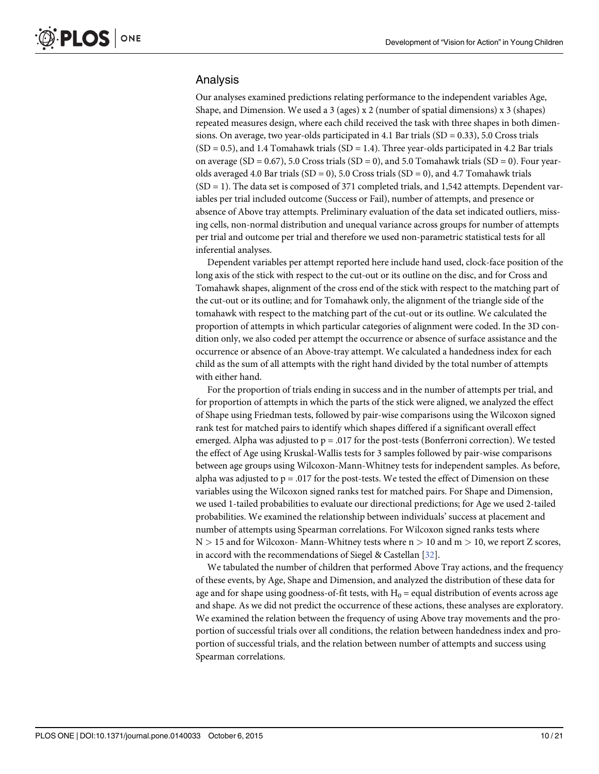#### <span id="page-9-0"></span>Analysis

Our analyses examined predictions relating performance to the independent variables Age, Shape, and Dimension. We used a 3 (ages) x 2 (number of spatial dimensions) x 3 (shapes) repeated measures design, where each child received the task with three shapes in both dimensions. On average, two year-olds participated in 4.1 Bar trials  $(SD = 0.33)$ , 5.0 Cross trials  $(SD = 0.5)$ , and 1.4 Tomahawk trials  $(SD = 1.4)$ . Three year-olds participated in 4.2 Bar trials on average (SD = 0.67), 5.0 Cross trials (SD = 0), and 5.0 Tomahawk trials (SD = 0). Four yearolds averaged 4.0 Bar trials (SD = 0), 5.0 Cross trials (SD = 0), and 4.7 Tomahawk trials  $(SD = 1)$ . The data set is composed of 371 completed trials, and 1,542 attempts. Dependent variables per trial included outcome (Success or Fail), number of attempts, and presence or absence of Above tray attempts. Preliminary evaluation of the data set indicated outliers, missing cells, non-normal distribution and unequal variance across groups for number of attempts per trial and outcome per trial and therefore we used non-parametric statistical tests for all inferential analyses.

Dependent variables per attempt reported here include hand used, clock-face position of the long axis of the stick with respect to the cut-out or its outline on the disc, and for Cross and Tomahawk shapes, alignment of the cross end of the stick with respect to the matching part of the cut-out or its outline; and for Tomahawk only, the alignment of the triangle side of the tomahawk with respect to the matching part of the cut-out or its outline. We calculated the proportion of attempts in which particular categories of alignment were coded. In the 3D condition only, we also coded per attempt the occurrence or absence of surface assistance and the occurrence or absence of an Above-tray attempt. We calculated a handedness index for each child as the sum of all attempts with the right hand divided by the total number of attempts with either hand.

For the proportion of trials ending in success and in the number of attempts per trial, and for proportion of attempts in which the parts of the stick were aligned, we analyzed the effect of Shape using Friedman tests, followed by pair-wise comparisons using the Wilcoxon signed rank test for matched pairs to identify which shapes differed if a significant overall effect emerged. Alpha was adjusted to  $p = 0.017$  for the post-tests (Bonferroni correction). We tested the effect of Age using Kruskal-Wallis tests for 3 samples followed by pair-wise comparisons between age groups using Wilcoxon-Mann-Whitney tests for independent samples. As before, alpha was adjusted to  $p = 0.017$  for the post-tests. We tested the effect of Dimension on these variables using the Wilcoxon signed ranks test for matched pairs. For Shape and Dimension, we used 1-tailed probabilities to evaluate our directional predictions; for Age we used 2-tailed probabilities. We examined the relationship between individuals' success at placement and number of attempts using Spearman correlations. For Wilcoxon signed ranks tests where  $N > 15$  and for Wilcoxon-Mann-Whitney tests where  $n > 10$  and  $m > 10$ , we report Z scores, in accord with the recommendations of Siegel & Castellan [[32](#page-20-0)].

We tabulated the number of children that performed Above Tray actions, and the frequency of these events, by Age, Shape and Dimension, and analyzed the distribution of these data for age and for shape using goodness-of-fit tests, with  $H_0$  = equal distribution of events across age and shape. As we did not predict the occurrence of these actions, these analyses are exploratory. We examined the relation between the frequency of using Above tray movements and the proportion of successful trials over all conditions, the relation between handedness index and proportion of successful trials, and the relation between number of attempts and success using Spearman correlations.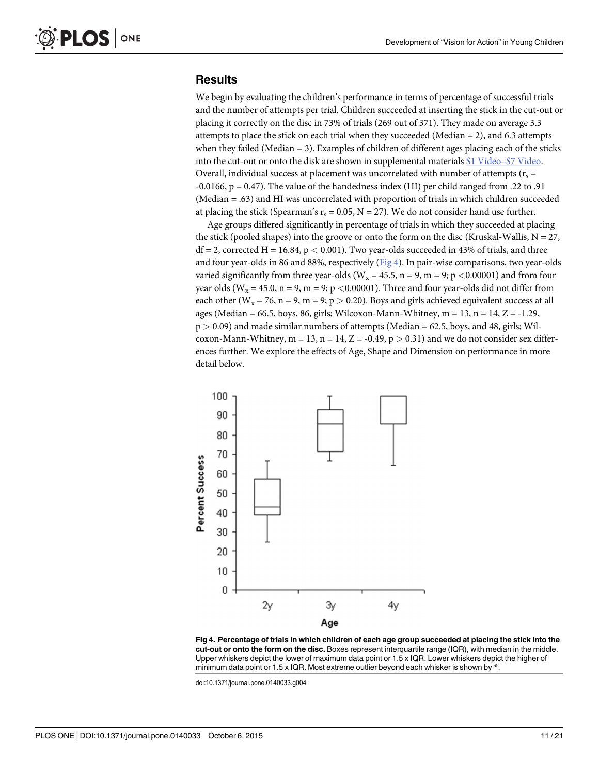#### **Results**

We begin by evaluating the children's performance in terms of percentage of successful trials and the number of attempts per trial. Children succeeded at inserting the stick in the cut-out or placing it correctly on the disc in 73% of trials (269 out of 371). They made on average 3.3 attempts to place the stick on each trial when they succeeded (Median  $= 2$ ), and 6.3 attempts when they failed (Median  $= 3$ ). Examples of children of different ages placing each of the sticks into the cut-out or onto the disk are shown in supplemental materials [S1 Video](#page-18-0)-[S7 Video](#page-18-0). Overall, individual success at placement was uncorrelated with number of attempts ( $r_s$  = -0.0166,  $p = 0.47$ ). The value of the handedness index (HI) per child ranged from .22 to .91 (Median = .63) and HI was uncorrelated with proportion of trials in which children succeeded at placing the stick (Spearman's  $r_s = 0.05$ , N = 27). We do not consider hand use further.

Age groups differed significantly in percentage of trials in which they succeeded at placing the stick (pooled shapes) into the groove or onto the form on the disc (Kruskal-Wallis,  $N = 27$ ,  $df = 2$ , corrected H = 16.84, p < 0.001). Two year-olds succeeded in 43% of trials, and three and four year-olds in 86 and 88%, respectively ( $Fig 4$ ). In pair-wise comparisons, two year-olds varied significantly from three year-olds ( $W_x = 45.5$ , n = 9, m = 9; p <0.00001) and from four year olds ( $W_x = 45.0$ ,  $n = 9$ ,  $m = 9$ ;  $p < 0.00001$ ). Three and four year-olds did not differ from each other ( $W_x = 76$ , n = 9, m = 9; p > 0.20). Boys and girls achieved equivalent success at all ages (Median = 66.5, boys, 86, girls; Wilcoxon-Mann-Whitney,  $m = 13$ ,  $n = 14$ ,  $Z = -1.29$ ,  $p > 0.09$ ) and made similar numbers of attempts (Median = 62.5, boys, and 48, girls; Wilcoxon-Mann-Whitney, m = 13, n = 14, Z = -0.49, p > 0.31) and we do not consider sex differences further. We explore the effects of Age, Shape and Dimension on performance in more detail below.



Fig 4. Percentage of trials in which children of each age group succeeded at placing the stick into the cut-out or onto the form on the disc. Boxes represent interquartile range (IQR), with median in the middle. Upper whiskers depict the lower of maximum data point or 1.5 x IQR. Lower whiskers depict the higher of minimum data point or 1.5 x IQR. Most extreme outlier beyond each whisker is shown by  $*$ .

doi:10.1371/journal.pone.0140033.g004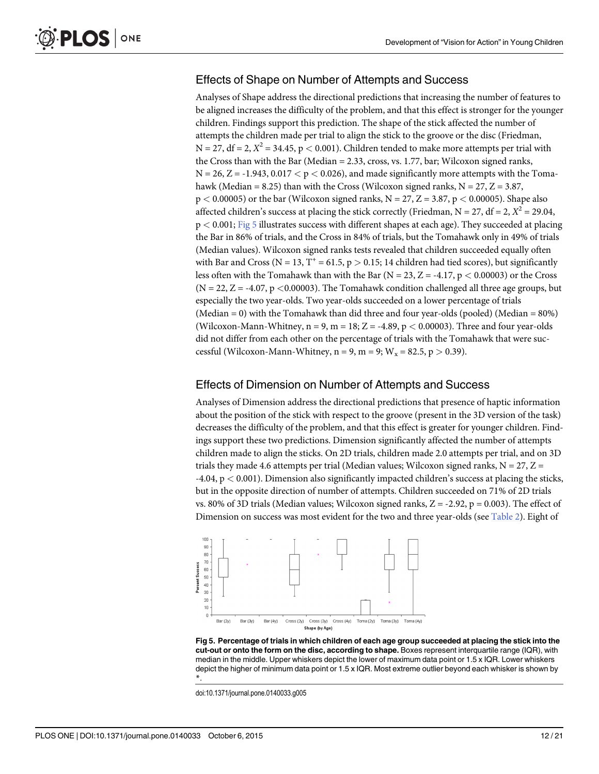### <span id="page-11-0"></span>Effects of Shape on Number of Attempts and Success

Analyses of Shape address the directional predictions that increasing the number of features to be aligned increases the difficulty of the problem, and that this effect is stronger for the younger children. Findings support this prediction. The shape of the stick affected the number of attempts the children made per trial to align the stick to the groove or the disc (Friedman,  $N = 27$ ,  $df = 2$ ,  $X^2 = 34.45$ ,  $p < 0.001$ ). Children tended to make more attempts per trial with the Cross than with the Bar (Median = 2.33, cross, vs. 1.77, bar; Wilcoxon signed ranks,  $N = 26$ ,  $Z = -1.943$ ,  $0.017 < p < 0.026$ ), and made significantly more attempts with the Tomahawk (Median = 8.25) than with the Cross (Wilcoxon signed ranks,  $N = 27$ ,  $Z = 3.87$ ,  $p < 0.00005$ ) or the bar (Wilcoxon signed ranks,  $N = 27$ ,  $Z = 3.87$ ,  $p < 0.00005$ ). Shape also affected children's success at placing the stick correctly (Friedman,  $N = 27$ ,  $df = 2$ ,  $X^2 = 29.04$ , p < 0.001; Fig 5 illustrates success with different shapes at each age). They succeeded at placing the Bar in 86% of trials, and the Cross in 84% of trials, but the Tomahawk only in 49% of trials (Median values). Wilcoxon signed ranks tests revealed that children succeeded equally often with Bar and Cross (N = 13, T<sup>+</sup> = 61.5, p > 0.15; 14 children had tied scores), but significantly less often with the Tomahawk than with the Bar ( $N = 23$ ,  $Z = -4.17$ ,  $p < 0.00003$ ) or the Cross (N = 22, Z = -4.07, p <0.00003). The Tomahawk condition challenged all three age groups, but especially the two year-olds. Two year-olds succeeded on a lower percentage of trials (Median = 0) with the Tomahawk than did three and four year-olds (pooled) (Median =  $80\%$ ) (Wilcoxon-Mann-Whitney,  $n = 9$ ,  $m = 18$ ;  $Z = -4.89$ ,  $p < 0.00003$ ). Three and four year-olds did not differ from each other on the percentage of trials with the Tomahawk that were successful (Wilcoxon-Mann-Whitney,  $n = 9$ ,  $m = 9$ ;  $W_x = 82.5$ ,  $p > 0.39$ ).

#### Effects of Dimension on Number of Attempts and Success

Analyses of Dimension address the directional predictions that presence of haptic information about the position of the stick with respect to the groove (present in the 3D version of the task) decreases the difficulty of the problem, and that this effect is greater for younger children. Findings support these two predictions. Dimension significantly affected the number of attempts children made to align the sticks. On 2D trials, children made 2.0 attempts per trial, and on 3D trials they made 4.6 attempts per trial (Median values; Wilcoxon signed ranks,  $N = 27$ ,  $Z =$ -4.04, p < 0.001). Dimension also significantly impacted children's success at placing the sticks, but in the opposite direction of number of attempts. Children succeeded on 71% of 2D trials vs. 80% of 3D trials (Median values; Wilcoxon signed ranks,  $Z = -2.92$ ,  $p = 0.003$ ). The effect of Dimension on success was most evident for the two and three year-olds (see [Table 2](#page-12-0)). Eight of



Fig 5. Percentage of trials in which children of each age group succeeded at placing the stick into the cut-out or onto the form on the disc, according to shape. Boxes represent interquartile range (IQR), with median in the middle. Upper whiskers depict the lower of maximum data point or 1.5 x IQR. Lower whiskers depict the higher of minimum data point or 1.5 x IQR. Most extreme outlier beyond each whisker is shown by \*.

doi:10.1371/journal.pone.0140033.g005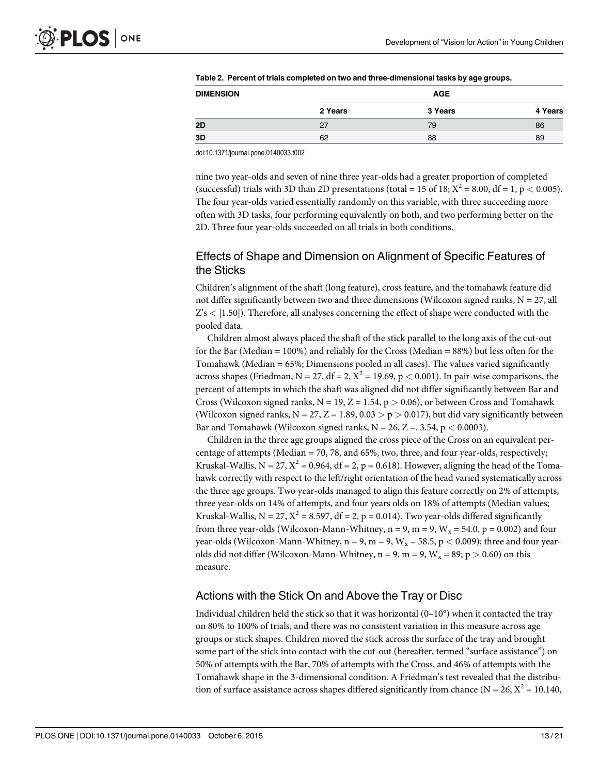| <b>DIMENSION</b> | <b>AGE</b> |         |         |
|------------------|------------|---------|---------|
|                  | 2 Years    | 3 Years | 4 Years |
| 2D               | 27         | 79      | 86      |
| 3D               | 62         | 88      | 89      |

<span id="page-12-0"></span>

| Table 2. Percent of trials completed on two and three-dimensional tasks by age groups. |
|----------------------------------------------------------------------------------------|
|----------------------------------------------------------------------------------------|

doi:10.1371/journal.pone.0140033.t002

nine two year-olds and seven of nine three year-olds had a greater proportion of completed (successful) trials with 3D than 2D presentations (total = 15 of 18;  $X^2 = 8.00$ , df = 1, p < 0.005). The four year-olds varied essentially randomly on this variable, with three succeeding more often with 3D tasks, four performing equivalently on both, and two performing better on the 2D. Three four year-olds succeeded on all trials in both conditions.

# Effects of Shape and Dimension on Alignment of Specific Features of the Sticks

Children's alignment of the shaft (long feature), cross feature, and the tomahawk feature did not differ significantly between two and three dimensions (Wilcoxon signed ranks,  $N = 27$ , all  $Z's < |1.50|$ ). Therefore, all analyses concerning the effect of shape were conducted with the pooled data.

Children almost always placed the shaft of the stick parallel to the long axis of the cut-out for the Bar (Median =  $100\%$ ) and reliably for the Cross (Median =  $88\%$ ) but less often for the Tomahawk (Median = 65%; Dimensions pooled in all cases). The values varied significantly across shapes (Friedman, N = 27, df = 2,  $X^2$  = 19.69, p < 0.001). In pair-wise comparisons, the percent of attempts in which the shaft was aligned did not differ significantly between Bar and Cross (Wilcoxon signed ranks,  $N = 19$ ,  $Z = 1.54$ ,  $p > 0.06$ ), or between Cross and Tomahawk (Wilcoxon signed ranks,  $N = 27$ ,  $Z = 1.89$ ,  $0.03 > p > 0.017$ ), but did vary significantly between Bar and Tomahawk (Wilcoxon signed ranks,  $N = 26$ ,  $Z = 0.354$ ,  $p < 0.0003$ ).

Children in the three age groups aligned the cross piece of the Cross on an equivalent percentage of attempts (Median  $= 70, 78,$  and 65%, two, three, and four year-olds, respectively; Kruskal-Wallis,  $N = 27$ ,  $X^2 = 0.964$ , df = 2, p = 0.618). However, aligning the head of the Tomahawk correctly with respect to the left/right orientation of the head varied systematically across the three age groups. Two year-olds managed to align this feature correctly on 2% of attempts, three year-olds on 14% of attempts, and four years olds on 18% of attempts (Median values; Kruskal-Wallis,  $N = 27$ ,  $X^2 = 8.597$ , df = 2, p = 0.014). Two year-olds differed significantly from three year-olds (Wilcoxon-Mann-Whitney,  $n = 9$ ,  $m = 9$ ,  $W_x = 54.0$ ,  $p = 0.002$ ) and four year-olds (Wilcoxon-Mann-Whitney,  $n = 9$ ,  $m = 9$ ,  $W_x = 58.5$ ,  $p < 0.009$ ); three and four yearolds did not differ (Wilcoxon-Mann-Whitney,  $n = 9$ ,  $m = 9$ ,  $W_x = 89$ ;  $p > 0.60$ ) on this measure.

#### Actions with the Stick On and Above the Tray or Disc

Individual children held the stick so that it was horizontal  $(0-10^{\circ})$  when it contacted the tray on 80% to 100% of trials, and there was no consistent variation in this measure across age groups or stick shapes. Children moved the stick across the surface of the tray and brought some part of the stick into contact with the cut-out (hereafter, termed "surface assistance") on 50% of attempts with the Bar, 70% of attempts with the Cross, and 46% of attempts with the Tomahawk shape in the 3-dimensional condition. A Friedman's test revealed that the distribution of surface assistance across shapes differed significantly from chance ( $N = 26$ ;  $X^2 = 10.140$ ,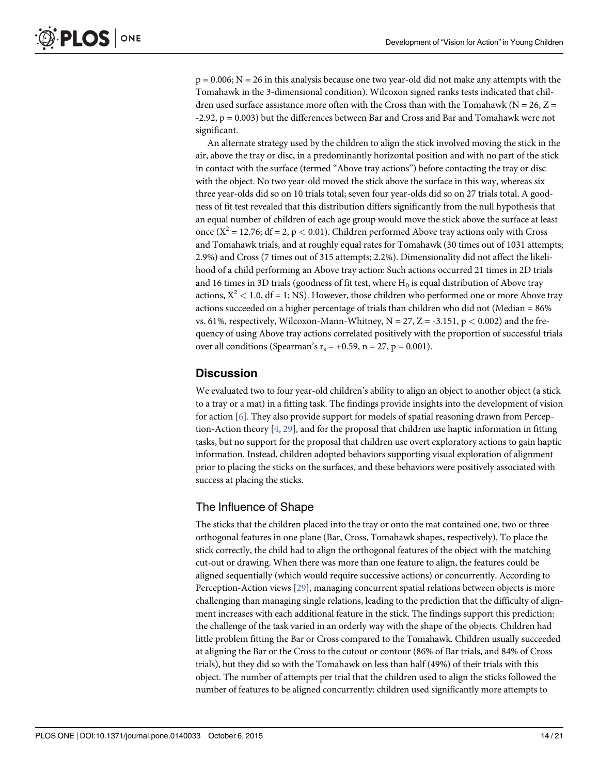$p = 0.006$ ;  $N = 26$  in this analysis because one two year-old did not make any attempts with the Tomahawk in the 3-dimensional condition). Wilcoxon signed ranks tests indicated that children used surface assistance more often with the Cross than with the Tomahawk ( $N = 26$ ,  $Z =$ -2.92, p = 0.003) but the differences between Bar and Cross and Bar and Tomahawk were not significant.

An alternate strategy used by the children to align the stick involved moving the stick in the air, above the tray or disc, in a predominantly horizontal position and with no part of the stick in contact with the surface (termed "Above tray actions") before contacting the tray or disc with the object. No two year-old moved the stick above the surface in this way, whereas six three year-olds did so on 10 trials total; seven four year-olds did so on 27 trials total. A goodness of fit test revealed that this distribution differs significantly from the null hypothesis that an equal number of children of each age group would move the stick above the surface at least once ( $X^2 = 12.76$ ; df = 2, p < 0.01). Children performed Above tray actions only with Cross and Tomahawk trials, and at roughly equal rates for Tomahawk (30 times out of 1031 attempts; 2.9%) and Cross (7 times out of 315 attempts; 2.2%). Dimensionality did not affect the likelihood of a child performing an Above tray action: Such actions occurred 21 times in 2D trials and 16 times in 3D trials (goodness of fit test, where  $H_0$  is equal distribution of Above tray actions,  $X^2$  < 1.0, df = 1; NS). However, those children who performed one or more Above tray actions succeeded on a higher percentage of trials than children who did not (Median = 86% vs. 61%, respectively, Wilcoxon-Mann-Whitney,  $N = 27$ ,  $Z = -3.151$ ,  $p < 0.002$ ) and the frequency of using Above tray actions correlated positively with the proportion of successful trials over all conditions (Spearman's  $r_s = +0.59$ , n = 27, p = 0.001).

# **Discussion**

We evaluated two to four year-old children's ability to align an object to another object (a stick to a tray or a mat) in a fitting task. The findings provide insights into the development of vision for action  $[6]$ . They also provide support for models of spatial reasoning drawn from Perception-Action theory [\[4](#page-19-0), [29](#page-19-0)], and for the proposal that children use haptic information in fitting tasks, but no support for the proposal that children use overt exploratory actions to gain haptic information. Instead, children adopted behaviors supporting visual exploration of alignment prior to placing the sticks on the surfaces, and these behaviors were positively associated with success at placing the sticks.

# The Influence of Shape

The sticks that the children placed into the tray or onto the mat contained one, two or three orthogonal features in one plane (Bar, Cross, Tomahawk shapes, respectively). To place the stick correctly, the child had to align the orthogonal features of the object with the matching cut-out or drawing. When there was more than one feature to align, the features could be aligned sequentially (which would require successive actions) or concurrently. According to Perception-Action views [\[29\]](#page-19-0), managing concurrent spatial relations between objects is more challenging than managing single relations, leading to the prediction that the difficulty of alignment increases with each additional feature in the stick. The findings support this prediction: the challenge of the task varied in an orderly way with the shape of the objects. Children had little problem fitting the Bar or Cross compared to the Tomahawk. Children usually succeeded at aligning the Bar or the Cross to the cutout or contour (86% of Bar trials, and 84% of Cross trials), but they did so with the Tomahawk on less than half (49%) of their trials with this object. The number of attempts per trial that the children used to align the sticks followed the number of features to be aligned concurrently: children used significantly more attempts to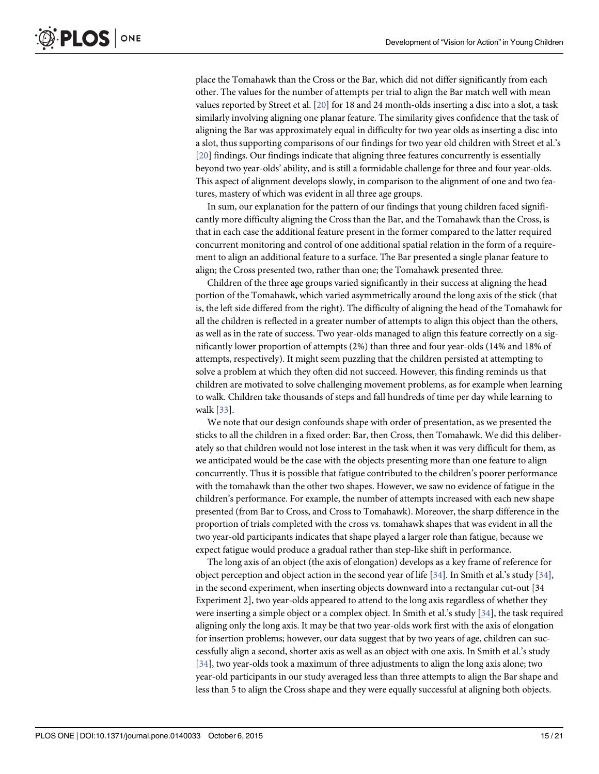<span id="page-14-0"></span>place the Tomahawk than the Cross or the Bar, which did not differ significantly from each other. The values for the number of attempts per trial to align the Bar match well with mean values reported by Street et al. [[20](#page-19-0)] for 18 and 24 month-olds inserting a disc into a slot, a task similarly involving aligning one planar feature. The similarity gives confidence that the task of aligning the Bar was approximately equal in difficulty for two year olds as inserting a disc into a slot, thus supporting comparisons of our findings for two year old children with Street et al.'s [\[20](#page-19-0)] findings. Our findings indicate that aligning three features concurrently is essentially beyond two year-olds' ability, and is still a formidable challenge for three and four year-olds. This aspect of alignment develops slowly, in comparison to the alignment of one and two features, mastery of which was evident in all three age groups.

In sum, our explanation for the pattern of our findings that young children faced significantly more difficulty aligning the Cross than the Bar, and the Tomahawk than the Cross, is that in each case the additional feature present in the former compared to the latter required concurrent monitoring and control of one additional spatial relation in the form of a requirement to align an additional feature to a surface. The Bar presented a single planar feature to align; the Cross presented two, rather than one; the Tomahawk presented three.

Children of the three age groups varied significantly in their success at aligning the head portion of the Tomahawk, which varied asymmetrically around the long axis of the stick (that is, the left side differed from the right). The difficulty of aligning the head of the Tomahawk for all the children is reflected in a greater number of attempts to align this object than the others, as well as in the rate of success. Two year-olds managed to align this feature correctly on a significantly lower proportion of attempts (2%) than three and four year-olds (14% and 18% of attempts, respectively). It might seem puzzling that the children persisted at attempting to solve a problem at which they often did not succeed. However, this finding reminds us that children are motivated to solve challenging movement problems, as for example when learning to walk. Children take thousands of steps and fall hundreds of time per day while learning to walk [\[33\]](#page-20-0).

We note that our design confounds shape with order of presentation, as we presented the sticks to all the children in a fixed order: Bar, then Cross, then Tomahawk. We did this deliberately so that children would not lose interest in the task when it was very difficult for them, as we anticipated would be the case with the objects presenting more than one feature to align concurrently. Thus it is possible that fatigue contributed to the children's poorer performance with the tomahawk than the other two shapes. However, we saw no evidence of fatigue in the children's performance. For example, the number of attempts increased with each new shape presented (from Bar to Cross, and Cross to Tomahawk). Moreover, the sharp difference in the proportion of trials completed with the cross vs. tomahawk shapes that was evident in all the two year-old participants indicates that shape played a larger role than fatigue, because we expect fatigue would produce a gradual rather than step-like shift in performance.

The long axis of an object (the axis of elongation) develops as a key frame of reference for object perception and object action in the second year of life [[34](#page-20-0)]. In Smith et al.'s study [[34\]](#page-20-0), in the second experiment, when inserting objects downward into a rectangular cut-out [34 Experiment 2], two year-olds appeared to attend to the long axis regardless of whether they were inserting a simple object or a complex object. In Smith et al.'s study [[34\]](#page-20-0), the task required aligning only the long axis. It may be that two year-olds work first with the axis of elongation for insertion problems; however, our data suggest that by two years of age, children can successfully align a second, shorter axis as well as an object with one axis. In Smith et al.'s study [\[34](#page-20-0)], two year-olds took a maximum of three adjustments to align the long axis alone; two year-old participants in our study averaged less than three attempts to align the Bar shape and less than 5 to align the Cross shape and they were equally successful at aligning both objects.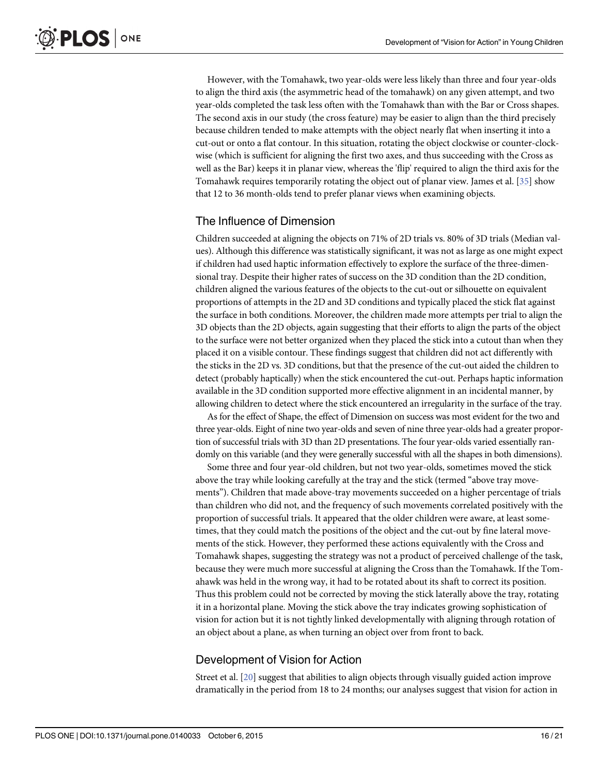<span id="page-15-0"></span>However, with the Tomahawk, two year-olds were less likely than three and four year-olds to align the third axis (the asymmetric head of the tomahawk) on any given attempt, and two year-olds completed the task less often with the Tomahawk than with the Bar or Cross shapes. The second axis in our study (the cross feature) may be easier to align than the third precisely because children tended to make attempts with the object nearly flat when inserting it into a cut-out or onto a flat contour. In this situation, rotating the object clockwise or counter-clockwise (which is sufficient for aligning the first two axes, and thus succeeding with the Cross as well as the Bar) keeps it in planar view, whereas the 'flip' required to align the third axis for the Tomahawk requires temporarily rotating the object out of planar view. James et al. [\[35\]](#page-20-0) show that 12 to 36 month-olds tend to prefer planar views when examining objects.

#### The Influence of Dimension

Children succeeded at aligning the objects on 71% of 2D trials vs. 80% of 3D trials (Median values). Although this difference was statistically significant, it was not as large as one might expect if children had used haptic information effectively to explore the surface of the three-dimensional tray. Despite their higher rates of success on the 3D condition than the 2D condition, children aligned the various features of the objects to the cut-out or silhouette on equivalent proportions of attempts in the 2D and 3D conditions and typically placed the stick flat against the surface in both conditions. Moreover, the children made more attempts per trial to align the 3D objects than the 2D objects, again suggesting that their efforts to align the parts of the object to the surface were not better organized when they placed the stick into a cutout than when they placed it on a visible contour. These findings suggest that children did not act differently with the sticks in the 2D vs. 3D conditions, but that the presence of the cut-out aided the children to detect (probably haptically) when the stick encountered the cut-out. Perhaps haptic information available in the 3D condition supported more effective alignment in an incidental manner, by allowing children to detect where the stick encountered an irregularity in the surface of the tray.

As for the effect of Shape, the effect of Dimension on success was most evident for the two and three year-olds. Eight of nine two year-olds and seven of nine three year-olds had a greater proportion of successful trials with 3D than 2D presentations. The four year-olds varied essentially randomly on this variable (and they were generally successful with all the shapes in both dimensions).

Some three and four year-old children, but not two year-olds, sometimes moved the stick above the tray while looking carefully at the tray and the stick (termed "above tray movements"). Children that made above-tray movements succeeded on a higher percentage of trials than children who did not, and the frequency of such movements correlated positively with the proportion of successful trials. It appeared that the older children were aware, at least sometimes, that they could match the positions of the object and the cut-out by fine lateral movements of the stick. However, they performed these actions equivalently with the Cross and Tomahawk shapes, suggesting the strategy was not a product of perceived challenge of the task, because they were much more successful at aligning the Cross than the Tomahawk. If the Tomahawk was held in the wrong way, it had to be rotated about its shaft to correct its position. Thus this problem could not be corrected by moving the stick laterally above the tray, rotating it in a horizontal plane. Moving the stick above the tray indicates growing sophistication of vision for action but it is not tightly linked developmentally with aligning through rotation of an object about a plane, as when turning an object over from front to back.

#### Development of Vision for Action

Street et al. [\[20\]](#page-19-0) suggest that abilities to align objects through visually guided action improve dramatically in the period from 18 to 24 months; our analyses suggest that vision for action in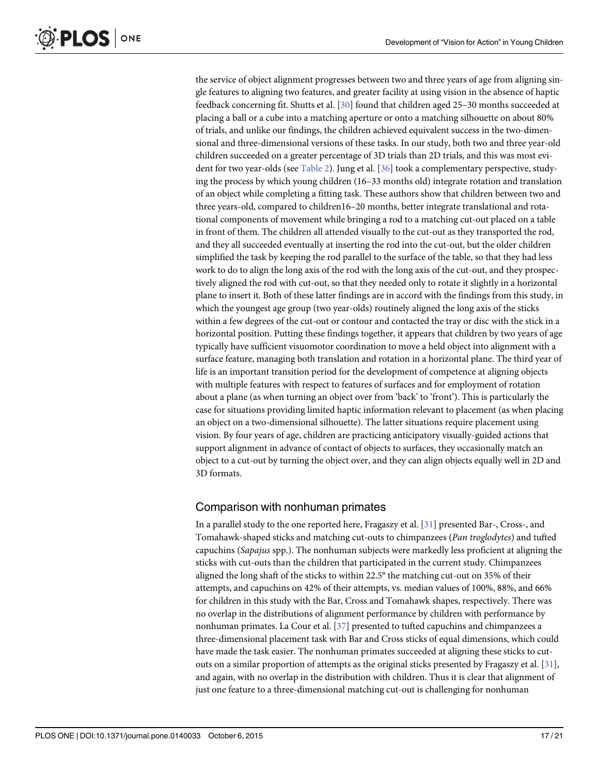<span id="page-16-0"></span>the service of object alignment progresses between two and three years of age from aligning single features to aligning two features, and greater facility at using vision in the absence of haptic feedback concerning fit. Shutts et al. [\[30\]](#page-19-0) found that children aged 25–30 months succeeded at placing a ball or a cube into a matching aperture or onto a matching silhouette on about 80% of trials, and unlike our findings, the children achieved equivalent success in the two-dimensional and three-dimensional versions of these tasks. In our study, both two and three year-old children succeeded on a greater percentage of 3D trials than 2D trials, and this was most evident for two year-olds (see [Table 2\)](#page-12-0). Jung et al. [\[36\]](#page-20-0) took a complementary perspective, studying the process by which young children (16–33 months old) integrate rotation and translation of an object while completing a fitting task. These authors show that children between two and three years-old, compared to children16–20 months, better integrate translational and rotational components of movement while bringing a rod to a matching cut-out placed on a table in front of them. The children all attended visually to the cut-out as they transported the rod, and they all succeeded eventually at inserting the rod into the cut-out, but the older children simplified the task by keeping the rod parallel to the surface of the table, so that they had less work to do to align the long axis of the rod with the long axis of the cut-out, and they prospectively aligned the rod with cut-out, so that they needed only to rotate it slightly in a horizontal plane to insert it. Both of these latter findings are in accord with the findings from this study, in which the youngest age group (two year-olds) routinely aligned the long axis of the sticks within a few degrees of the cut-out or contour and contacted the tray or disc with the stick in a horizontal position. Putting these findings together, it appears that children by two years of age typically have sufficient visuomotor coordination to move a held object into alignment with a surface feature, managing both translation and rotation in a horizontal plane. The third year of life is an important transition period for the development of competence at aligning objects with multiple features with respect to features of surfaces and for employment of rotation about a plane (as when turning an object over from 'back' to 'front'). This is particularly the case for situations providing limited haptic information relevant to placement (as when placing an object on a two-dimensional silhouette). The latter situations require placement using vision. By four years of age, children are practicing anticipatory visually-guided actions that support alignment in advance of contact of objects to surfaces, they occasionally match an object to a cut-out by turning the object over, and they can align objects equally well in 2D and 3D formats.

# Comparison with nonhuman primates

In a parallel study to the one reported here, Fragaszy et al. [[31](#page-20-0)] presented Bar-, Cross-, and Tomahawk-shaped sticks and matching cut-outs to chimpanzees (Pan troglodytes) and tufted capuchins (Sapajus spp.). The nonhuman subjects were markedly less proficient at aligning the sticks with cut-outs than the children that participated in the current study. Chimpanzees aligned the long shaft of the sticks to within 22.5° the matching cut-out on 35% of their attempts, and capuchins on 42% of their attempts, vs. median values of 100%, 88%, and 66% for children in this study with the Bar, Cross and Tomahawk shapes, respectively. There was no overlap in the distributions of alignment performance by children with performance by nonhuman primates. La Cour et al. [\[37\]](#page-20-0) presented to tufted capuchins and chimpanzees a three-dimensional placement task with Bar and Cross sticks of equal dimensions, which could have made the task easier. The nonhuman primates succeeded at aligning these sticks to cutouts on a similar proportion of attempts as the original sticks presented by Fragaszy et al.  $[31]$  $[31]$  $[31]$ , and again, with no overlap in the distribution with children. Thus it is clear that alignment of just one feature to a three-dimensional matching cut-out is challenging for nonhuman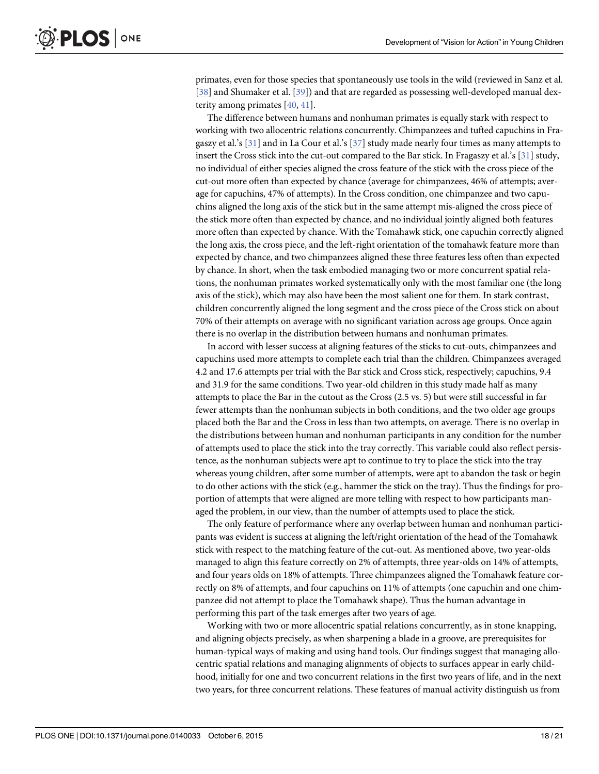<span id="page-17-0"></span>primates, even for those species that spontaneously use tools in the wild (reviewed in Sanz et al. [\[38](#page-20-0)] and Shumaker et al. [[39](#page-20-0)]) and that are regarded as possessing well-developed manual dexterity among primates [\[40](#page-20-0), [41](#page-20-0)].

The difference between humans and nonhuman primates is equally stark with respect to working with two allocentric relations concurrently. Chimpanzees and tufted capuchins in Fragaszy et al.'s [[31](#page-20-0)] and in La Cour et al.'s [[37](#page-20-0)] study made nearly four times as many attempts to insert the Cross stick into the cut-out compared to the Bar stick. In Fragaszy et al.'s [[31](#page-20-0)] study, no individual of either species aligned the cross feature of the stick with the cross piece of the cut-out more often than expected by chance (average for chimpanzees, 46% of attempts; average for capuchins, 47% of attempts). In the Cross condition, one chimpanzee and two capuchins aligned the long axis of the stick but in the same attempt mis-aligned the cross piece of the stick more often than expected by chance, and no individual jointly aligned both features more often than expected by chance. With the Tomahawk stick, one capuchin correctly aligned the long axis, the cross piece, and the left-right orientation of the tomahawk feature more than expected by chance, and two chimpanzees aligned these three features less often than expected by chance. In short, when the task embodied managing two or more concurrent spatial relations, the nonhuman primates worked systematically only with the most familiar one (the long axis of the stick), which may also have been the most salient one for them. In stark contrast, children concurrently aligned the long segment and the cross piece of the Cross stick on about 70% of their attempts on average with no significant variation across age groups. Once again there is no overlap in the distribution between humans and nonhuman primates.

In accord with lesser success at aligning features of the sticks to cut-outs, chimpanzees and capuchins used more attempts to complete each trial than the children. Chimpanzees averaged 4.2 and 17.6 attempts per trial with the Bar stick and Cross stick, respectively; capuchins, 9.4 and 31.9 for the same conditions. Two year-old children in this study made half as many attempts to place the Bar in the cutout as the Cross (2.5 vs. 5) but were still successful in far fewer attempts than the nonhuman subjects in both conditions, and the two older age groups placed both the Bar and the Cross in less than two attempts, on average. There is no overlap in the distributions between human and nonhuman participants in any condition for the number of attempts used to place the stick into the tray correctly. This variable could also reflect persistence, as the nonhuman subjects were apt to continue to try to place the stick into the tray whereas young children, after some number of attempts, were apt to abandon the task or begin to do other actions with the stick (e.g., hammer the stick on the tray). Thus the findings for proportion of attempts that were aligned are more telling with respect to how participants managed the problem, in our view, than the number of attempts used to place the stick.

The only feature of performance where any overlap between human and nonhuman participants was evident is success at aligning the left/right orientation of the head of the Tomahawk stick with respect to the matching feature of the cut-out. As mentioned above, two year-olds managed to align this feature correctly on 2% of attempts, three year-olds on 14% of attempts, and four years olds on 18% of attempts. Three chimpanzees aligned the Tomahawk feature correctly on 8% of attempts, and four capuchins on 11% of attempts (one capuchin and one chimpanzee did not attempt to place the Tomahawk shape). Thus the human advantage in performing this part of the task emerges after two years of age.

Working with two or more allocentric spatial relations concurrently, as in stone knapping, and aligning objects precisely, as when sharpening a blade in a groove, are prerequisites for human-typical ways of making and using hand tools. Our findings suggest that managing allocentric spatial relations and managing alignments of objects to surfaces appear in early childhood, initially for one and two concurrent relations in the first two years of life, and in the next two years, for three concurrent relations. These features of manual activity distinguish us from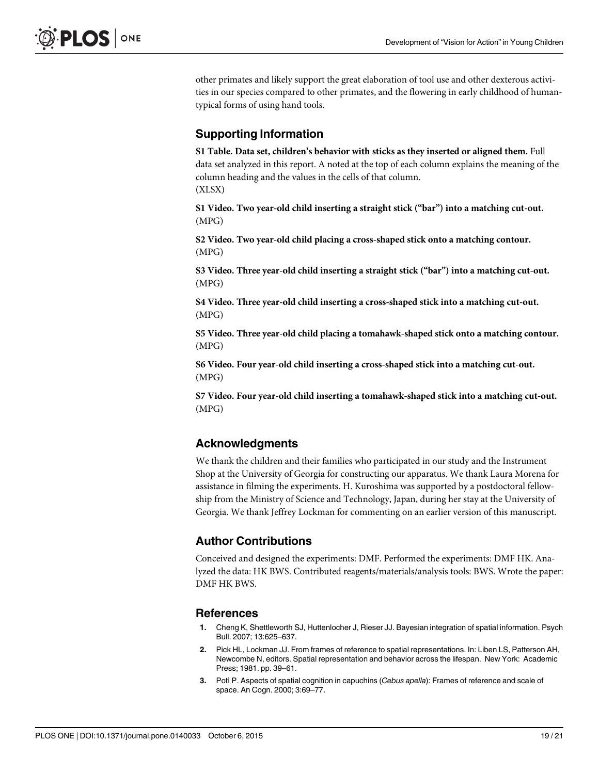<span id="page-18-0"></span>other primates and likely support the great elaboration of tool use and other dexterous activities in our species compared to other primates, and the flowering in early childhood of humantypical forms of using hand tools.

# Supporting Information

[S1 Table](http://www.plosone.org/article/fetchSingleRepresentation.action?uri=info:doi/10.1371/journal.pone.0140033.s001). Data set, children's behavior with sticks as they inserted or aligned them. Full data set analyzed in this report. A noted at the top of each column explains the meaning of the column heading and the values in the cells of that column. (XLSX)

[S1 Video](http://www.plosone.org/article/fetchSingleRepresentation.action?uri=info:doi/10.1371/journal.pone.0140033.s002). Two year-old child inserting a straight stick ("bar") into a matching cut-out. (MPG)

[S2 Video](http://www.plosone.org/article/fetchSingleRepresentation.action?uri=info:doi/10.1371/journal.pone.0140033.s003). Two year-old child placing a cross-shaped stick onto a matching contour. (MPG)

[S3 Video](http://www.plosone.org/article/fetchSingleRepresentation.action?uri=info:doi/10.1371/journal.pone.0140033.s004). Three year-old child inserting a straight stick ("bar") into a matching cut-out. (MPG)

[S4 Video](http://www.plosone.org/article/fetchSingleRepresentation.action?uri=info:doi/10.1371/journal.pone.0140033.s005). Three year-old child inserting a cross-shaped stick into a matching cut-out. (MPG)

[S5 Video](http://www.plosone.org/article/fetchSingleRepresentation.action?uri=info:doi/10.1371/journal.pone.0140033.s006). Three year-old child placing a tomahawk-shaped stick onto a matching contour. (MPG)

[S6 Video](http://www.plosone.org/article/fetchSingleRepresentation.action?uri=info:doi/10.1371/journal.pone.0140033.s007). Four year-old child inserting a cross-shaped stick into a matching cut-out. (MPG)

[S7 Video](http://www.plosone.org/article/fetchSingleRepresentation.action?uri=info:doi/10.1371/journal.pone.0140033.s008). Four year-old child inserting a tomahawk-shaped stick into a matching cut-out. (MPG)

# Acknowledgments

We thank the children and their families who participated in our study and the Instrument Shop at the University of Georgia for constructing our apparatus. We thank Laura Morena for assistance in filming the experiments. H. Kuroshima was supported by a postdoctoral fellowship from the Ministry of Science and Technology, Japan, during her stay at the University of Georgia. We thank Jeffrey Lockman for commenting on an earlier version of this manuscript.

# Author Contributions

Conceived and designed the experiments: DMF. Performed the experiments: DMF HK. Analyzed the data: HK BWS. Contributed reagents/materials/analysis tools: BWS. Wrote the paper: DMF HK BWS.

# **References**

- [1.](#page-0-0) Cheng K, Shettleworth SJ, Huttenlocher J, Rieser JJ. Bayesian integration of spatial information. Psych Bull. 2007; 13:625–637.
- 2. Pick HL, Lockman JJ. From frames of reference to spatial representations. In: Liben LS, Patterson AH, Newcombe N, editors. Spatial representation and behavior across the lifespan. New York: Academic Press; 1981. pp. 39–61.
- [3.](#page-0-0) Potì P. Aspects of spatial cognition in capuchins (Cebus apella): Frames of reference and scale of space. An Cogn. 2000; 3:69–77.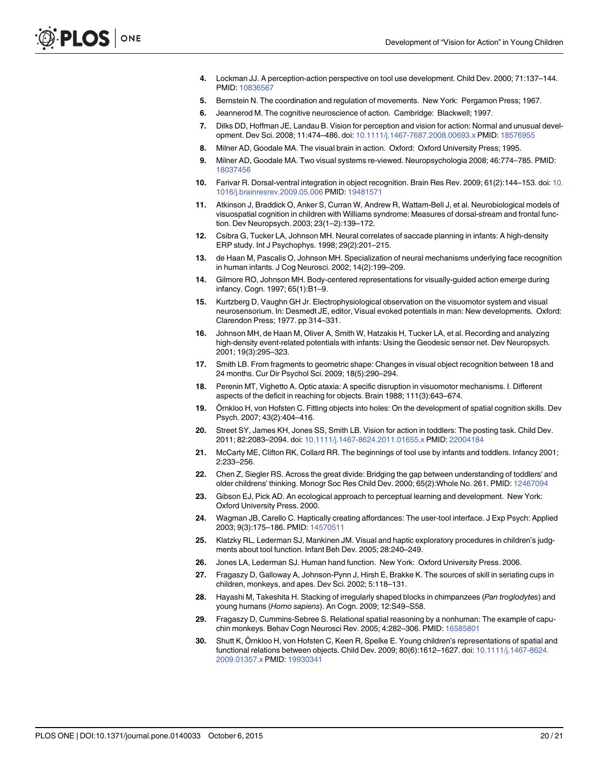- <span id="page-19-0"></span>[4.](#page-0-0) Lockman JJ. A perception-action perspective on tool use development. Child Dev. 2000; 71:137–144. PMID: [10836567](http://www.ncbi.nlm.nih.gov/pubmed/10836567)
- [5.](#page-1-0) Bernstein N. The coordination and regulation of movements. New York: Pergamon Press; 1967.
- [6.](#page-1-0) Jeannerod M. The cognitive neuroscience of action. Cambridge: Blackwell; 1997.
- [7.](#page-1-0) Dilks DD, Hoffman JE, Landau B. Vision for perception and vision for action: Normal and unusual development. Dev Sci. 2008; 11:474–486. doi: [10.1111/j.1467-7687.2008.00693.x](http://dx.doi.org/10.1111/j.1467-7687.2008.00693.x) PMID: [18576955](http://www.ncbi.nlm.nih.gov/pubmed/18576955)
- 8. Milner AD, Goodale MA. The visual brain in action. Oxford: Oxford University Press; 1995.
- [9.](#page-1-0) Milner AD, Goodale MA. Two visual systems re-viewed. Neuropsychologia 2008; 46:774–785. PMID: [18037456](http://www.ncbi.nlm.nih.gov/pubmed/18037456)
- [10.](#page-1-0) Farivar R. Dorsal-ventral integration in object recognition. Brain Res Rev. 2009; 61(2):144–153. doi: [10.](http://dx.doi.org/10.1016/j.brainresrev.2009.05.006) [1016/j.brainresrev.2009.05.006](http://dx.doi.org/10.1016/j.brainresrev.2009.05.006) PMID: [19481571](http://www.ncbi.nlm.nih.gov/pubmed/19481571)
- [11.](#page-1-0) Atkinson J, Braddick O, Anker S, Curran W, Andrew R, Wattam-Bell J, et al. Neurobiological models of visuospatial cognition in children with Williams syndrome: Measures of dorsal-stream and frontal function. Dev Neuropsych. 2003; 23(1–2):139–172.
- 12. Csibra G, Tucker LA, Johnson MH. Neural correlates of saccade planning in infants: A high-density ERP study. Int J Psychophys. 1998; 29(2):201–215.
- 13. de Haan M, Pascalis O, Johnson MH. Specialization of neural mechanisms underlying face recognition in human infants. J Cog Neurosci. 2002; 14(2):199–209.
- 14. Gilmore RO, Johnson MH. Body-centered representations for visually-guided action emerge during infancy. Cogn. 1997; 65(1):B1–9.
- [15.](#page-1-0) Kurtzberg D, Vaughn GH Jr. Electrophysiological observation on the visuomotor system and visual neurosensorium. In: Desmedt JE, editor, Visual evoked potentials in man: New developments. Oxford: Clarendon Press; 1977. pp 314–331.
- [16.](#page-1-0) Johnson MH, de Haan M, Oliver A, Smith W, Hatzakis H, Tucker LA, et al. Recording and analyzing high-density event-related potentials with infants: Using the Geodesic sensor net. Dev Neuropsych. 2001; 19(3):295–323.
- [17.](#page-1-0) Smith LB. From fragments to geometric shape: Changes in visual object recognition between 18 and 24 months. Cur Dir Psychol Sci. 2009; 18(5):290–294.
- [18.](#page-1-0) Perenin MT, Vighetto A. Optic ataxia: A specific disruption in visuomotor mechanisms. I. Different aspects of the deficit in reaching for objects. Brain 1988; 111(3):643–674.
- [19.](#page-1-0) Örnkloo H, von Hofsten C. Fitting objects into holes: On the development of spatial cognition skills. Dev Psych. 2007; 43(2):404–416.
- [20.](#page-1-0) Street SY, James KH, Jones SS, Smith LB. Vision for action in toddlers: The posting task. Child Dev. 2011; 82:2083–2094. doi: [10.1111/j.1467-8624.2011.01655.x](http://dx.doi.org/10.1111/j.1467-8624.2011.01655.x) PMID: [22004184](http://www.ncbi.nlm.nih.gov/pubmed/22004184)
- [21.](#page-2-0) McCarty ME, Clifton RK, Collard RR. The beginnings of tool use by infants and toddlers. Infancy 2001; 2:233–256.
- [22.](#page-2-0) Chen Z, Siegler RS. Across the great divide: Bridging the gap between understanding of toddlers' and older childrens' thinking. Monogr Soc Res Child Dev. 2000; 65(2):Whole No. 261. PMID: [12467094](http://www.ncbi.nlm.nih.gov/pubmed/12467094)
- [23.](#page-2-0) Gibson EJ, Pick AD. An ecological approach to perceptual learning and development. New York: Oxford University Press. 2000.
- [24.](#page-2-0) Wagman JB, Carello C. Haptically creating affordances: The user-tool interface. J Exp Psych: Applied 2003; 9(3):175–186. PMID: [14570511](http://www.ncbi.nlm.nih.gov/pubmed/14570511)
- [25.](#page-2-0) Klatzky RL, Lederman SJ, Mankinen JM. Visual and haptic exploratory procedures in children's judgments about tool function. Infant Beh Dev. 2005; 28:240–249.
- [26.](#page-3-0) Jones LA, Lederman SJ. Human hand function. New York: Oxford University Press. 2006.
- [27.](#page-3-0) Fragaszy D, Galloway A, Johnson-Pynn J, Hirsh E, Brakke K. The sources of skill in seriating cups in children, monkeys, and apes. Dev Sci. 2002; 5:118–131.
- [28.](#page-3-0) Hayashi M, Takeshita H. Stacking of irregularly shaped blocks in chimpanzees (Pan troglodytes) and young humans (Homo sapiens). An Cogn. 2009; 12:S49–S58.
- [29.](#page-3-0) Fragaszy D, Cummins-Sebree S. Relational spatial reasoning by a nonhuman: The example of capuchin monkeys. Behav Cogn Neurosci Rev. 2005; 4:282–306. PMID: [16585801](http://www.ncbi.nlm.nih.gov/pubmed/16585801)
- [30.](#page-3-0) Shutt K, Örnkloo H, von Hofsten C, Keen R, Spelke E. Young children's representations of spatial and functional relations between objects. Child Dev. 2009; 80(6):1612–1627. doi: [10.1111/j.1467-8624.](http://dx.doi.org/10.1111/j.1467-8624.2009.01357.x) [2009.01357.x](http://dx.doi.org/10.1111/j.1467-8624.2009.01357.x) PMID: [19930341](http://www.ncbi.nlm.nih.gov/pubmed/19930341)